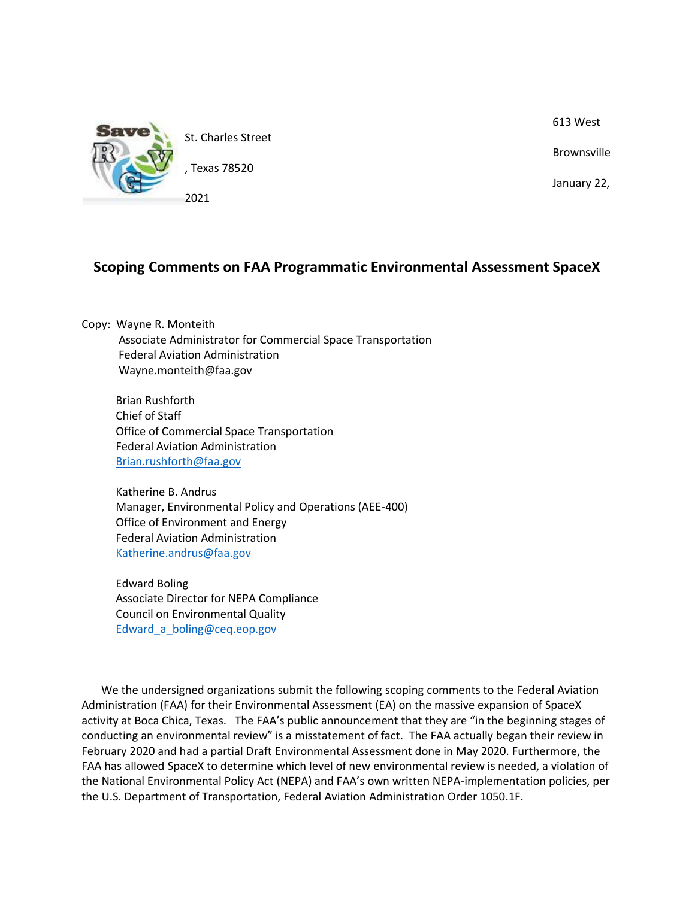

613 West

Brownsville

January 22,

# **Scoping Comments on FAA Programmatic Environmental Assessment SpaceX**

Copy: Wayne R. Monteith Associate Administrator for Commercial Space Transportation Federal Aviation Administration Wayne.monteith@faa.gov

 Brian Rushforth Chief of Staff Office of Commercial Space Transportation Federal Aviation Administration [Brian.rushforth@faa.gov](mailto:Brian.rushforth@faa.gov)

 Katherine B. Andrus Manager, Environmental Policy and Operations (AEE-400) Office of Environment and Energy Federal Aviation Administration [Katherine.andrus@faa.gov](mailto:Katherine.andrus@faa.gov)

 Edward Boling Associate Director for NEPA Compliance Council on Environmental Quality Edward a boling@ceq.eop.gov

We the undersigned organizations submit the following scoping comments to the Federal Aviation Administration (FAA) for their Environmental Assessment (EA) on the massive expansion of SpaceX activity at Boca Chica, Texas. The FAA's public announcement that they are "in the beginning stages of conducting an environmental review" is a misstatement of fact. The FAA actually began their review in February 2020 and had a partial Draft Environmental Assessment done in May 2020. Furthermore, the FAA has allowed SpaceX to determine which level of new environmental review is needed, a violation of the National Environmental Policy Act (NEPA) and FAA's own written NEPA-implementation policies, per the U.S. Department of Transportation, Federal Aviation Administration Order 1050.1F.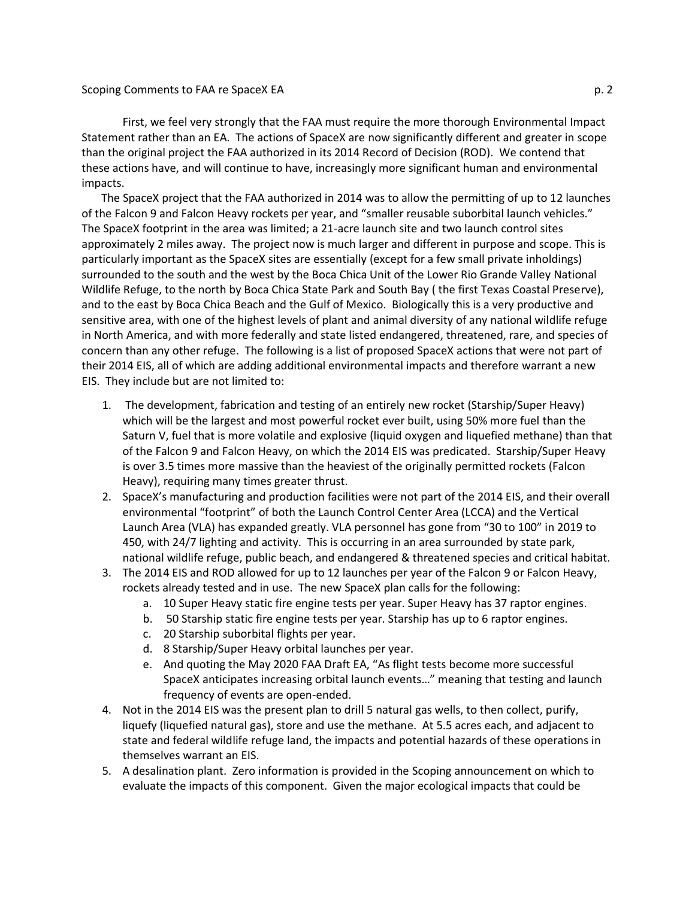#### Scoping Comments to FAA re SpaceX EA p. 2

First, we feel very strongly that the FAA must require the more thorough Environmental Impact Statement rather than an EA. The actions of SpaceX are now significantly different and greater in scope than the original project the FAA authorized in its 2014 Record of Decision (ROD). We contend that these actions have, and will continue to have, increasingly more significant human and environmental impacts.

The SpaceX project that the FAA authorized in 2014 was to allow the permitting of up to 12 launches of the Falcon 9 and Falcon Heavy rockets per year, and "smaller reusable suborbital launch vehicles." The SpaceX footprint in the area was limited; a 21-acre launch site and two launch control sites approximately 2 miles away. The project now is much larger and different in purpose and scope. This is particularly important as the SpaceX sites are essentially (except for a few small private inholdings) surrounded to the south and the west by the Boca Chica Unit of the Lower Rio Grande Valley National Wildlife Refuge, to the north by Boca Chica State Park and South Bay ( the first Texas Coastal Preserve), and to the east by Boca Chica Beach and the Gulf of Mexico. Biologically this is a very productive and sensitive area, with one of the highest levels of plant and animal diversity of any national wildlife refuge in North America, and with more federally and state listed endangered, threatened, rare, and species of concern than any other refuge. The following is a list of proposed SpaceX actions that were not part of their 2014 EIS, all of which are adding additional environmental impacts and therefore warrant a new EIS. They include but are not limited to:

- 1. The development, fabrication and testing of an entirely new rocket (Starship/Super Heavy) which will be the largest and most powerful rocket ever built, using 50% more fuel than the Saturn V, fuel that is more volatile and explosive (liquid oxygen and liquefied methane) than that of the Falcon 9 and Falcon Heavy, on which the 2014 EIS was predicated. Starship/Super Heavy is over 3.5 times more massive than the heaviest of the originally permitted rockets (Falcon Heavy), requiring many times greater thrust.
- 2. SpaceX's manufacturing and production facilities were not part of the 2014 EIS, and their overall environmental "footprint" of both the Launch Control Center Area (LCCA) and the Vertical Launch Area (VLA) has expanded greatly. VLA personnel has gone from "30 to 100" in 2019 to 450, with 24/7 lighting and activity. This is occurring in an area surrounded by state park, national wildlife refuge, public beach, and endangered & threatened species and critical habitat.
- 3. The 2014 EIS and ROD allowed for up to 12 launches per year of the Falcon 9 or Falcon Heavy, rockets already tested and in use. The new SpaceX plan calls for the following:
	- a. 10 Super Heavy static fire engine tests per year. Super Heavy has 37 raptor engines.
	- b. 50 Starship static fire engine tests per year. Starship has up to 6 raptor engines.
	- c. 20 Starship suborbital flights per year.
	- d. 8 Starship/Super Heavy orbital launches per year.
	- e. And quoting the May 2020 FAA Draft EA, "As flight tests become more successful SpaceX anticipates increasing orbital launch events…" meaning that testing and launch frequency of events are open-ended.
- 4. Not in the 2014 EIS was the present plan to drill 5 natural gas wells, to then collect, purify, liquefy (liquefied natural gas), store and use the methane. At 5.5 acres each, and adjacent to state and federal wildlife refuge land, the impacts and potential hazards of these operations in themselves warrant an EIS.
- 5. A desalination plant. Zero information is provided in the Scoping announcement on which to evaluate the impacts of this component. Given the major ecological impacts that could be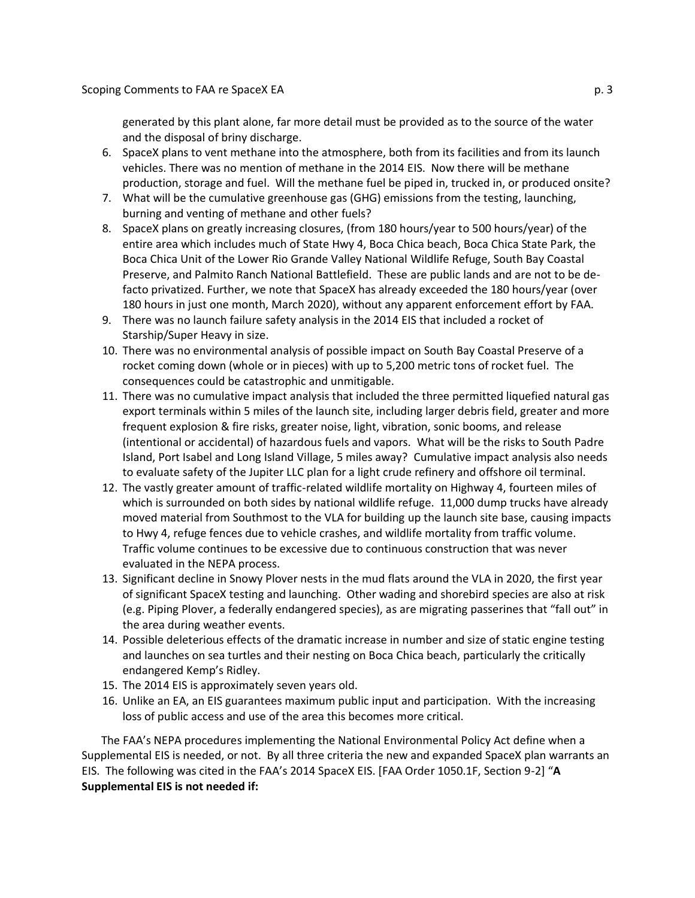generated by this plant alone, far more detail must be provided as to the source of the water and the disposal of briny discharge.

- 6. SpaceX plans to vent methane into the atmosphere, both from its facilities and from its launch vehicles. There was no mention of methane in the 2014 EIS. Now there will be methane production, storage and fuel. Will the methane fuel be piped in, trucked in, or produced onsite?
- 7. What will be the cumulative greenhouse gas (GHG) emissions from the testing, launching, burning and venting of methane and other fuels?
- 8. SpaceX plans on greatly increasing closures, (from 180 hours/year to 500 hours/year) of the entire area which includes much of State Hwy 4, Boca Chica beach, Boca Chica State Park, the Boca Chica Unit of the Lower Rio Grande Valley National Wildlife Refuge, South Bay Coastal Preserve, and Palmito Ranch National Battlefield. These are public lands and are not to be defacto privatized. Further, we note that SpaceX has already exceeded the 180 hours/year (over 180 hours in just one month, March 2020), without any apparent enforcement effort by FAA.
- 9. There was no launch failure safety analysis in the 2014 EIS that included a rocket of Starship/Super Heavy in size.
- 10. There was no environmental analysis of possible impact on South Bay Coastal Preserve of a rocket coming down (whole or in pieces) with up to 5,200 metric tons of rocket fuel. The consequences could be catastrophic and unmitigable.
- 11. There was no cumulative impact analysis that included the three permitted liquefied natural gas export terminals within 5 miles of the launch site, including larger debris field, greater and more frequent explosion & fire risks, greater noise, light, vibration, sonic booms, and release (intentional or accidental) of hazardous fuels and vapors. What will be the risks to South Padre Island, Port Isabel and Long Island Village, 5 miles away? Cumulative impact analysis also needs to evaluate safety of the Jupiter LLC plan for a light crude refinery and offshore oil terminal.
- 12. The vastly greater amount of traffic-related wildlife mortality on Highway 4, fourteen miles of which is surrounded on both sides by national wildlife refuge. 11,000 dump trucks have already moved material from Southmost to the VLA for building up the launch site base, causing impacts to Hwy 4, refuge fences due to vehicle crashes, and wildlife mortality from traffic volume. Traffic volume continues to be excessive due to continuous construction that was never evaluated in the NEPA process.
- 13. Significant decline in Snowy Plover nests in the mud flats around the VLA in 2020, the first year of significant SpaceX testing and launching. Other wading and shorebird species are also at risk (e.g. Piping Plover, a federally endangered species), as are migrating passerines that "fall out" in the area during weather events.
- 14. Possible deleterious effects of the dramatic increase in number and size of static engine testing and launches on sea turtles and their nesting on Boca Chica beach, particularly the critically endangered Kemp's Ridley.
- 15. The 2014 EIS is approximately seven years old.
- 16. Unlike an EA, an EIS guarantees maximum public input and participation. With the increasing loss of public access and use of the area this becomes more critical.

The FAA's NEPA procedures implementing the National Environmental Policy Act define when a Supplemental EIS is needed, or not. By all three criteria the new and expanded SpaceX plan warrants an EIS. The following was cited in the FAA's 2014 SpaceX EIS. [FAA Order 1050.1F, Section 9-2] "**A Supplemental EIS is not needed if:**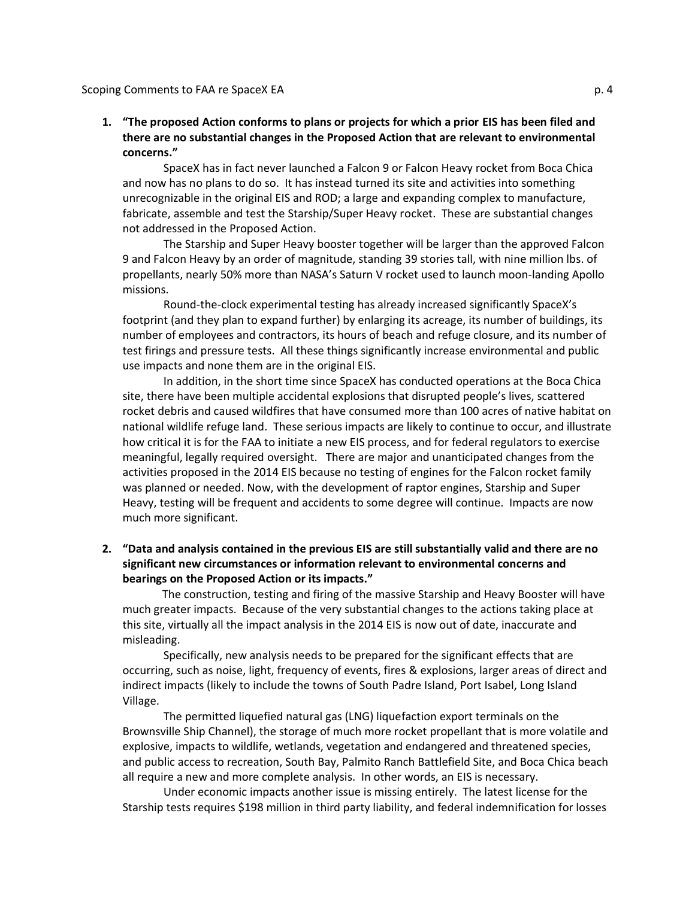### **1. "The proposed Action conforms to plans or projects for which a prior EIS has been filed and there are no substantial changes in the Proposed Action that are relevant to environmental concerns."**

SpaceX has in fact never launched a Falcon 9 or Falcon Heavy rocket from Boca Chica and now has no plans to do so. It has instead turned its site and activities into something unrecognizable in the original EIS and ROD; a large and expanding complex to manufacture, fabricate, assemble and test the Starship/Super Heavy rocket. These are substantial changes not addressed in the Proposed Action.

The Starship and Super Heavy booster together will be larger than the approved Falcon 9 and Falcon Heavy by an order of magnitude, standing 39 stories tall, with nine million lbs. of propellants, nearly 50% more than NASA's Saturn V rocket used to launch moon-landing Apollo missions.

Round-the-clock experimental testing has already increased significantly SpaceX's footprint (and they plan to expand further) by enlarging its acreage, its number of buildings, its number of employees and contractors, its hours of beach and refuge closure, and its number of test firings and pressure tests. All these things significantly increase environmental and public use impacts and none them are in the original EIS.

In addition, in the short time since SpaceX has conducted operations at the Boca Chica site, there have been multiple accidental explosions that disrupted people's lives, scattered rocket debris and caused wildfires that have consumed more than 100 acres of native habitat on national wildlife refuge land. These serious impacts are likely to continue to occur, and illustrate how critical it is for the FAA to initiate a new EIS process, and for federal regulators to exercise meaningful, legally required oversight. There are major and unanticipated changes from the activities proposed in the 2014 EIS because no testing of engines for the Falcon rocket family was planned or needed. Now, with the development of raptor engines, Starship and Super Heavy, testing will be frequent and accidents to some degree will continue. Impacts are now much more significant.

## **2. "Data and analysis contained in the previous EIS are still substantially valid and there are no significant new circumstances or information relevant to environmental concerns and bearings on the Proposed Action or its impacts."**

 The construction, testing and firing of the massive Starship and Heavy Booster will have much greater impacts. Because of the very substantial changes to the actions taking place at this site, virtually all the impact analysis in the 2014 EIS is now out of date, inaccurate and misleading.

Specifically, new analysis needs to be prepared for the significant effects that are occurring, such as noise, light, frequency of events, fires & explosions, larger areas of direct and indirect impacts (likely to include the towns of South Padre Island, Port Isabel, Long Island Village.

The permitted liquefied natural gas (LNG) liquefaction export terminals on the Brownsville Ship Channel), the storage of much more rocket propellant that is more volatile and explosive, impacts to wildlife, wetlands, vegetation and endangered and threatened species, and public access to recreation, South Bay, Palmito Ranch Battlefield Site, and Boca Chica beach all require a new and more complete analysis. In other words, an EIS is necessary.

Under economic impacts another issue is missing entirely. The latest license for the Starship tests requires \$198 million in third party liability, and federal indemnification for losses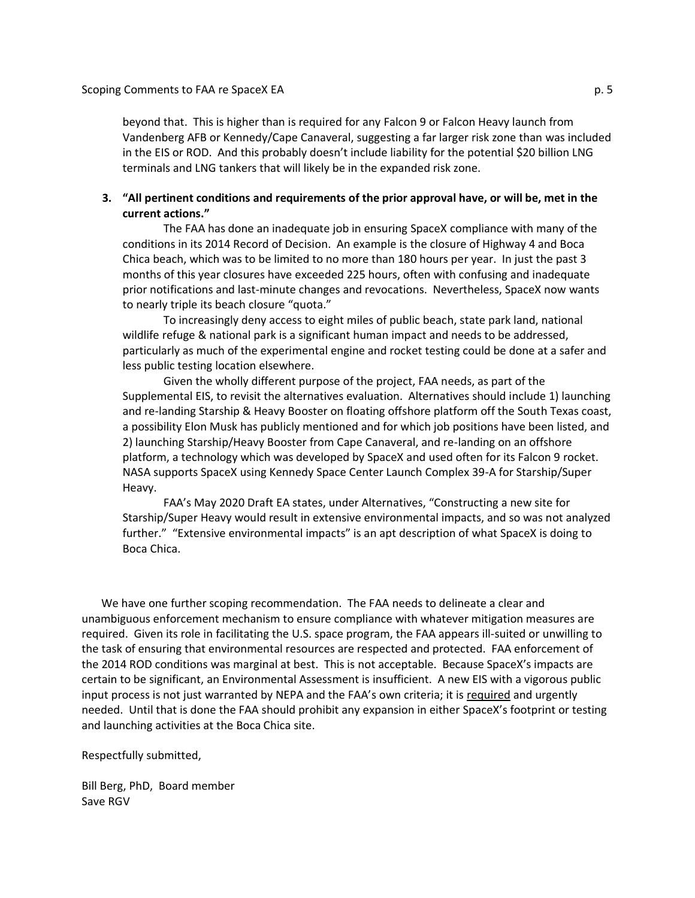beyond that. This is higher than is required for any Falcon 9 or Falcon Heavy launch from Vandenberg AFB or Kennedy/Cape Canaveral, suggesting a far larger risk zone than was included in the EIS or ROD. And this probably doesn't include liability for the potential \$20 billion LNG terminals and LNG tankers that will likely be in the expanded risk zone.

#### **3. "All pertinent conditions and requirements of the prior approval have, or will be, met in the current actions."**

The FAA has done an inadequate job in ensuring SpaceX compliance with many of the conditions in its 2014 Record of Decision. An example is the closure of Highway 4 and Boca Chica beach, which was to be limited to no more than 180 hours per year. In just the past 3 months of this year closures have exceeded 225 hours, often with confusing and inadequate prior notifications and last-minute changes and revocations. Nevertheless, SpaceX now wants to nearly triple its beach closure "quota."

To increasingly deny access to eight miles of public beach, state park land, national wildlife refuge & national park is a significant human impact and needs to be addressed, particularly as much of the experimental engine and rocket testing could be done at a safer and less public testing location elsewhere.

Given the wholly different purpose of the project, FAA needs, as part of the Supplemental EIS, to revisit the alternatives evaluation. Alternatives should include 1) launching and re-landing Starship & Heavy Booster on floating offshore platform off the South Texas coast, a possibility Elon Musk has publicly mentioned and for which job positions have been listed, and 2) launching Starship/Heavy Booster from Cape Canaveral, and re-landing on an offshore platform, a technology which was developed by SpaceX and used often for its Falcon 9 rocket. NASA supports SpaceX using Kennedy Space Center Launch Complex 39-A for Starship/Super Heavy.

FAA's May 2020 Draft EA states, under Alternatives, "Constructing a new site for Starship/Super Heavy would result in extensive environmental impacts, and so was not analyzed further." "Extensive environmental impacts" is an apt description of what SpaceX is doing to Boca Chica.

We have one further scoping recommendation. The FAA needs to delineate a clear and unambiguous enforcement mechanism to ensure compliance with whatever mitigation measures are required. Given its role in facilitating the U.S. space program, the FAA appears ill-suited or unwilling to the task of ensuring that environmental resources are respected and protected. FAA enforcement of the 2014 ROD conditions was marginal at best. This is not acceptable. Because SpaceX's impacts are certain to be significant, an Environmental Assessment is insufficient. A new EIS with a vigorous public input process is not just warranted by NEPA and the FAA's own criteria; it is required and urgently needed. Until that is done the FAA should prohibit any expansion in either SpaceX's footprint or testing and launching activities at the Boca Chica site.

Respectfully submitted,

Bill Berg, PhD, Board member Save RGV